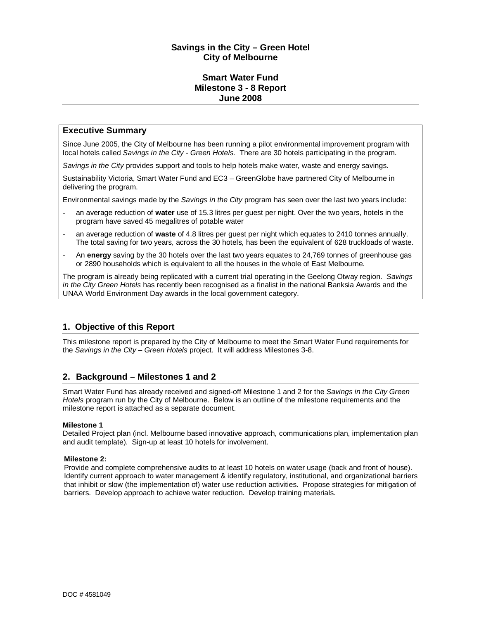# **Savings in the City – Green Hotel City of Melbourne**

### **Smart Water Fund Milestone 3 - 8 Report June 2008**

# **Executive Summary**

Since June 2005, the City of Melbourne has been running a pilot environmental improvement program with local hotels called *Savings in the City - Green Hotels.* There are 30 hotels participating in the program.

*Savings in the City* provides support and tools to help hotels make water, waste and energy savings.

Sustainability Victoria, Smart Water Fund and EC3 – GreenGlobe have partnered City of Melbourne in delivering the program.

Environmental savings made by the *Savings in the City* program has seen over the last two years include:

- an average reduction of **water** use of 15.3 litres per guest per night. Over the two years, hotels in the program have saved 45 megalitres of potable water
- an average reduction of **waste** of 4.8 litres per guest per night which equates to 2410 tonnes annually. The total saving for two years, across the 30 hotels, has been the equivalent of 628 truckloads of waste.
- An **energy** saving by the 30 hotels over the last two years equates to 24,769 tonnes of greenhouse gas or 2890 households which is equivalent to all the houses in the whole of East Melbourne.

The program is already being replicated with a current trial operating in the Geelong Otway region. *Savings in the City Green Hotels* has recently been recognised as a finalist in the national Banksia Awards and the UNAA World Environment Day awards in the local government category.

# **1. Objective of this Report**

This milestone report is prepared by the City of Melbourne to meet the Smart Water Fund requirements for the *Savings in the City – Green Hotels* project. It will address Milestones 3-8.

# **2. Background – Milestones 1 and 2**

Smart Water Fund has already received and signed-off Milestone 1 and 2 for the *Savings in the City Green Hotels* program run by the City of Melbourne. Below is an outline of the milestone requirements and the milestone report is attached as a separate document.

### **Milestone 1**

Detailed Project plan (incl. Melbourne based innovative approach, communications plan, implementation plan and audit template). Sign-up at least 10 hotels for involvement.

#### **Milestone 2:**

Provide and complete comprehensive audits to at least 10 hotels on water usage (back and front of house). Identify current approach to water management & identify regulatory, institutional, and organizational barriers that inhibit or slow (the implementation of) water use reduction activities. Propose strategies for mitigation of barriers. Develop approach to achieve water reduction. Develop training materials.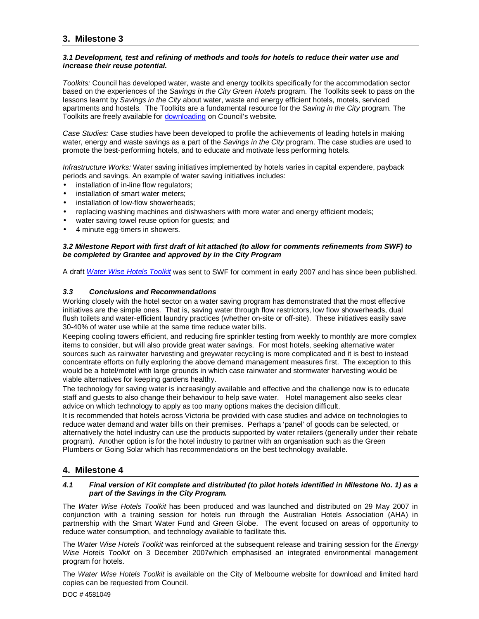# **3. Milestone 3**

#### *3.1 Development, test and refining of methods and tools for hotels to reduce their water use and increase their reuse potential.*

*Toolkits:* Council has developed water, waste and energy toolkits specifically for the accommodation sector based on the experiences of the *Savings in the City Green Hotels* program. The Toolkits seek to pass on the lessons learnt by *Savings in the City* about water, waste and energy efficient hotels, motels, serviced apartments and hostels. The Toolkits are a fundamental resource for the *Saving in the City* program. The Toolkits are freely available for **downloading** on Council's website.

*Case Studies:* Case studies have been developed to profile the achievements of leading hotels in making water, energy and waste savings as a part of the *Savings in the City* program. The case studies are used to promote the best-performing hotels, and to educate and motivate less performing hotels.

*Infrastructure Works:* Water saving initiatives implemented by hotels varies in capital expendere, payback periods and savings. An example of water saving initiatives includes:

- installation of in-line flow regulators;
- installation of smart water meters;
- installation of low-flow showerheads:
- replacing washing machines and dishwashers with more water and energy efficient models;
- water saving towel reuse option for quests; and
- 4 minute egg-timers in showers.

#### *3.2 Milestone Report with first draft of kit attached (to allow for comments refinements from SWF) to be completed by Grantee and approved by in the City Program*

A draft *Water Wise Hotels Toolkit* was sent to SWF for comment in early 2007 and has since been published.

#### *3.3 Conclusions and Recommendations*

Working closely with the hotel sector on a water saving program has demonstrated that the most effective initiatives are the simple ones. That is, saving water through flow restrictors, low flow showerheads, dual flush toilets and water-efficient laundry practices (whether on-site or off-site). These initiatives easily save 30-40% of water use while at the same time reduce water bills.

Keeping cooling towers efficient, and reducing fire sprinkler testing from weekly to monthly are more complex items to consider, but will also provide great water savings. For most hotels, seeking alternative water sources such as rainwater harvesting and greywater recycling is more complicated and it is best to instead concentrate efforts on fully exploring the above demand management measures first. The exception to this would be a hotel/motel with large grounds in which case rainwater and stormwater harvesting would be viable alternatives for keeping gardens healthy.

The technology for saving water is increasingly available and effective and the challenge now is to educate staff and guests to also change their behaviour to help save water. Hotel management also seeks clear advice on which technology to apply as too many options makes the decision difficult.

It is recommended that hotels across Victoria be provided with case studies and advice on technologies to reduce water demand and water bills on their premises. Perhaps a 'panel' of goods can be selected, or alternatively the hotel industry can use the products supported by water retailers (generally under their rebate program). Another option is for the hotel industry to partner with an organisation such as the Green Plumbers or Going Solar which has recommendations on the best technology available.

### **4. Milestone 4**

#### *4.1 Final version of Kit complete and distributed (to pilot hotels identified in Milestone No. 1) as a part of the Savings in the City Program.*

The *Water Wise Hotels Toolkit* has been produced and was launched and distributed on 29 May 2007 in conjunction with a training session for hotels run through the Australian Hotels Association (AHA) in partnership with the Smart Water Fund and Green Globe. The event focused on areas of opportunity to reduce water consumption, and technology available to facilitate this.

The *Water Wise Hotels Toolkit* was reinforced at the subsequent release and training session for the *Energy Wise Hotels Toolkit* on 3 December 2007which emphasised an integrated environmental management program for hotels.

The *Water Wise Hotels Toolkit* is available on the City of Melbourne website for download and limited hard copies can be requested from Council.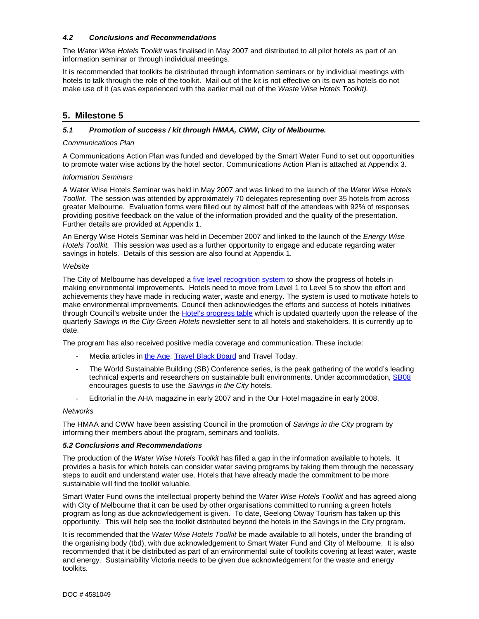#### *4.2 Conclusions and Recommendations*

The *Water Wise Hotels Toolkit* was finalised in May 2007 and distributed to all pilot hotels as part of an information seminar or through individual meetings.

It is recommended that toolkits be distributed through information seminars or by individual meetings with hotels to talk through the role of the toolkit. Mail out of the kit is not effective on its own as hotels do not make use of it (as was experienced with the earlier mail out of the *Waste Wise Hotels Toolkit).*

# **5. Milestone 5**

#### *5.1 Promotion of success / kit through HMAA, CWW, City of Melbourne.*

#### *Communications Plan*

A Communications Action Plan was funded and developed by the Smart Water Fund to set out opportunities to promote water wise actions by the hotel sector. Communications Action Plan is attached at Appendix 3.

#### *Information Seminars*

A Water Wise Hotels Seminar was held in May 2007 and was linked to the launch of the *Water Wise Hotels Toolkit.* The session was attended by approximately 70 delegates representing over 35 hotels from across greater Melbourne. Evaluation forms were filled out by almost half of the attendees with 92% of responses providing positive feedback on the value of the information provided and the quality of the presentation. Further details are provided at Appendix 1.

An Energy Wise Hotels Seminar was held in December 2007 and linked to the launch of the *Energy Wise Hotels Toolkit.* This session was used as a further opportunity to engage and educate regarding water savings in hotels. Details of this session are also found at Appendix 1.

#### *Website*

The City of Melbourne has developed a five level recognition system to show the progress of hotels in making environmental improvements. Hotels need to move from Level 1 to Level 5 to show the effort and achievements they have made in reducing water, waste and energy. The system is used to motivate hotels to make environmental improvements. Council then acknowledges the efforts and success of hotels initiatives through Council's website under the Hotel's progress table which is updated quarterly upon the release of the quarterly *Savings in the City Green Hotels* newsletter sent to all hotels and stakeholders. It is currently up to date.

The program has also received positive media coverage and communication. These include:

- Media articles in the Age; Travel Black Board and Travel Today.
- The World Sustainable Building (SB) Conference series, is the peak gathering of the world's leading technical experts and researchers on sustainable built environments. Under accommodation, SB08 encourages guests to use the *Savings in the City* hotels.
- Editorial in the AHA magazine in early 2007 and in the Our Hotel magazine in early 2008.

#### *Networks*

The HMAA and CWW have been assisting Council in the promotion of *Savings in the City* program by informing their members about the program, seminars and toolkits.

#### *5.2 Conclusions and Recommendations*

The production of the *Water Wise Hotels Toolkit* has filled a gap in the information available to hotels. It provides a basis for which hotels can consider water saving programs by taking them through the necessary steps to audit and understand water use. Hotels that have already made the commitment to be more sustainable will find the toolkit valuable.

Smart Water Fund owns the intellectual property behind the *Water Wise Hotels Toolkit* and has agreed along with City of Melbourne that it can be used by other organisations committed to running a green hotels program as long as due acknowledgement is given. To date, Geelong Otway Tourism has taken up this opportunity. This will help see the toolkit distributed beyond the hotels in the Savings in the City program.

It is recommended that the *Water Wise Hotels Toolkit* be made available to all hotels, under the branding of the organising body (tbd), with due acknowledgement to Smart Water Fund and City of Melbourne. It is also recommended that it be distributed as part of an environmental suite of toolkits covering at least water, waste and energy. Sustainability Victoria needs to be given due acknowledgement for the waste and energy toolkits.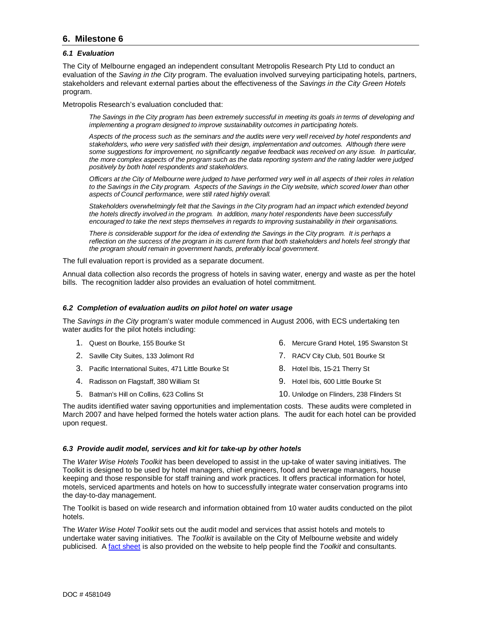# **6. Milestone 6**

#### *6.1 Evaluation*

The City of Melbourne engaged an independent consultant Metropolis Research Pty Ltd to conduct an evaluation of the *Saving in the City* program. The evaluation involved surveying participating hotels, partners, stakeholders and relevant external parties about the effectiveness of the *Savings in the City Green Hotels*  program.

Metropolis Research's evaluation concluded that:

*The Savings in the City program has been extremely successful in meeting its goals in terms of developing and implementing a program designed to improve sustainability outcomes in participating hotels.* 

*Aspects of the process such as the seminars and the audits were very well received by hotel respondents and stakeholders, who were very satisfied with their design, implementation and outcomes. Although there were some suggestions for improvement, no significantly negative feedback was received on any issue. In particular, the more complex aspects of the program such as the data reporting system and the rating ladder were judged positively by both hotel respondents and stakeholders.* 

*Officers at the City of Melbourne were judged to have performed very well in all aspects of their roles in relation to the Savings in the City program. Aspects of the Savings in the City website, which scored lower than other aspects of Council performance, were still rated highly overall.* 

*Stakeholders overwhelmingly felt that the Savings in the City program had an impact which extended beyond the hotels directly involved in the program. In addition, many hotel respondents have been successfully encouraged to take the next steps themselves in regards to improving sustainability in their organisations.* 

*There is considerable support for the idea of extending the Savings in the City program. It is perhaps a reflection on the success of the program in its current form that both stakeholders and hotels feel strongly that the program should remain in government hands, preferably local government.* 

The full evaluation report is provided as a separate document.

Annual data collection also records the progress of hotels in saving water, energy and waste as per the hotel bills. The recognition ladder also provides an evaluation of hotel commitment.

#### *6.2 Completion of evaluation audits on pilot hotel on water usage*

The *Savings in the City* program's water module commenced in August 2006, with ECS undertaking ten water audits for the pilot hotels including:

- 1. Quest on Bourke, 155 Bourke St
- 2. Saville City Suites, 133 Jolimont Rd
- 3. Pacific International Suites, 471 Little Bourke St
- 4. Radisson on Flagstaff, 380 William St
- 5. Batman's Hill on Collins, 623 Collins St
- 6. Mercure Grand Hotel, 195 Swanston St
- 7. RACV City Club, 501 Bourke St
- 8. Hotel Ibis, 15-21 Therry St
- 9. Hotel Ibis, 600 Little Bourke St
- 10. Unilodge on Flinders, 238 Flinders St

The audits identified water saving opportunities and implementation costs. These audits were completed in March 2007 and have helped formed the hotels water action plans. The audit for each hotel can be provided upon request.

#### *6.3 Provide audit model, services and kit for take-up by other hotels*

The *Water Wise Hotels Toolkit* has been developed to assist in the up-take of water saving initiatives. The Toolkit is designed to be used by hotel managers, chief engineers, food and beverage managers, house keeping and those responsible for staff training and work practices. It offers practical information for hotel, motels, serviced apartments and hotels on how to successfully integrate water conservation programs into the day-to-day management.

The Toolkit is based on wide research and information obtained from 10 water audits conducted on the pilot hotels.

The *Water Wise Hotel Toolkit* sets out the audit model and services that assist hotels and motels to undertake water saving initiatives. The *Toolkit* is available on the City of Melbourne website and widely publicised. A fact sheet is also provided on the website to help people find the *Toolkit* and consultants.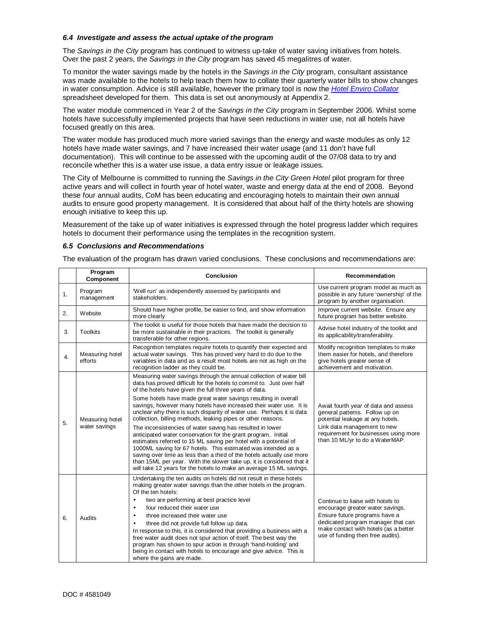#### *6.4 Investigate and assess the actual uptake of the program*

The *Savings in the City* program has continued to witness up-take of water saving initiatives from hotels. Over the past 2 years, the *Savings in the City* program has saved 45 megalitres of water.

To monitor the water savings made by the hotels in the *Savings in the City* program, consultant assistance was made available to the hotels to help teach them how to collate their quarterly water bills to show changes in water consumption. Advice is still available, however the primary tool is now the *Hotel Enviro Collator* spreadsheet developed for them. This data is set out anonymously at Appendix 2.

The water module commenced in Year 2 of the *Savings in the City* program in September 2006. Whilst some hotels have successfully implemented projects that have seen reductions in water use, not all hotels have focused greatly on this area.

The water module has produced much more varied savings than the energy and waste modules as only 12 hotels have made water savings, and 7 have increased their water usage (and 11 don't have full documentation). This will continue to be assessed with the upcoming audit of the 07/08 data to try and reconcile whether this is a water use issue, a data entry issue or leakage issues.

The City of Melbourne is committed to running the *Savings in the City Green Hotel* pilot program for three active years and will collect in fourth year of hotel water, waste and energy data at the end of 2008. Beyond these four annual audits, CoM has been educating and encouraging hotels to maintain their own annual audits to ensure good property management. It is considered that about half of the thirty hotels are showing enough initiative to keep this up.

Measurement of the take up of water initiatives is expressed through the hotel progress ladder which requires hotels to document their performance using the templates in the recognition system.

#### *6.5 Conclusions and Recommendations*

The evaluation of the program has drawn varied conclusions. These conclusions and recommendations are:

|    | Program<br>Component             | Conclusion                                                                                                                                                                                                                                                                                                                                                                                                                                                                                                                                                                                                                                                                       | Recommendation                                                                                                                                                                                                             |  |
|----|----------------------------------|----------------------------------------------------------------------------------------------------------------------------------------------------------------------------------------------------------------------------------------------------------------------------------------------------------------------------------------------------------------------------------------------------------------------------------------------------------------------------------------------------------------------------------------------------------------------------------------------------------------------------------------------------------------------------------|----------------------------------------------------------------------------------------------------------------------------------------------------------------------------------------------------------------------------|--|
| 1. | Program<br>management            | 'Well run' as independently assessed by participants and<br>stakeholders.                                                                                                                                                                                                                                                                                                                                                                                                                                                                                                                                                                                                        | Use current program model as much as<br>possible in any future 'ownership' of the<br>program by another organisation.                                                                                                      |  |
| 2. | Website                          | Should have higher profile, be easier to find, and show information<br>more clearly                                                                                                                                                                                                                                                                                                                                                                                                                                                                                                                                                                                              | Improve current website. Ensure any<br>future program has better website.                                                                                                                                                  |  |
| 3. | <b>Toolkits</b>                  | The toolkit is useful for those hotels that have made the decision to<br>be more sustainable in their practices. The toolkit is generally<br>transferable for other regions.                                                                                                                                                                                                                                                                                                                                                                                                                                                                                                     | Advise hotel industry of the toolkit and<br>its applicability/transferability.                                                                                                                                             |  |
| 4. | Measuring hotel<br>efforts       | Recognition templates require hotels to quantify their expected and<br>actual water savings. This has proved very hard to do due to the<br>variables in data and as a result most hotels are not as high on the<br>recognition ladder as they could be.                                                                                                                                                                                                                                                                                                                                                                                                                          | Modify recognition templates to make<br>them easier for hotels, and therefore<br>give hotels greater sense of<br>achievement and motivation.                                                                               |  |
|    |                                  | Measuring water savings through the annual collection of water bill<br>data has proved difficult for the hotels to commit to. Just over half<br>of the hotels have given the full three years of data.                                                                                                                                                                                                                                                                                                                                                                                                                                                                           |                                                                                                                                                                                                                            |  |
| 5. | Measuring hotel<br>water savings | Some hotels have made great water savings resulting in overall<br>savings, however many hotels have increased their water use. It is<br>unclear why there is such disparity of water use. Perhaps it is data<br>collection, billing methods, leaking pipes or other reasons.                                                                                                                                                                                                                                                                                                                                                                                                     | Await fourth year of data and assess<br>general patterns. Follow up on<br>potential leakage at any hotels.                                                                                                                 |  |
|    |                                  | The inconsistencies of water saving has resulted in lower<br>anticipated water conservation for the grant program. Initial<br>estimates referred to 15 ML saving per hotel with a potential of<br>1000ML saving for 67 hotels. This estimated was intended as a<br>saving over time as less than a third of the hotels actually use more<br>than 15ML per year. With the slower take up, it is considered that it<br>will take 12 years for the hotels to make an average 15 ML savings.                                                                                                                                                                                         | Link data management to new<br>requirement for businesses using more<br>than 10 ML/yr to do a WaterMAP.                                                                                                                    |  |
| 6. | Audits                           | Undertaking the ten audits on hotels did not result in these hotels<br>making greater water savings than the other hotels in the program.<br>Of the ten hotels:<br>two are performing at best practice level<br>٠<br>four reduced their water use<br>$\bullet$<br>three increased their water use<br>$\bullet$<br>three did not provide full follow up data.<br>In response to this, it is considered that providing a business with a<br>free water audit does not spur action of itself. The best way the<br>program has shown to spur action is through 'hand-holding' and<br>being in contact with hotels to encourage and give advice. This is<br>where the gains are made. | Continue to liaise with hotels to<br>encourage greater water savings.<br>Ensure future programs have a<br>dedicated program manager that can<br>make contact with hotels (as a better<br>use of funding then free audits). |  |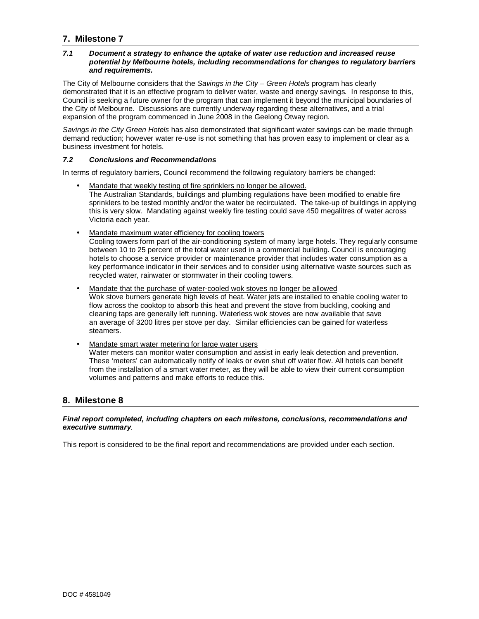# **7. Milestone 7**

#### *7.1 Document a strategy to enhance the uptake of water use reduction and increased reuse potential by Melbourne hotels, including recommendations for changes to regulatory barriers and requirements.*

The City of Melbourne considers that the *Savings in the City – Green Hotels* program has clearly demonstrated that it is an effective program to deliver water, waste and energy savings. In response to this, Council is seeking a future owner for the program that can implement it beyond the municipal boundaries of the City of Melbourne. Discussions are currently underway regarding these alternatives, and a trial expansion of the program commenced in June 2008 in the Geelong Otway region.

*Savings in the City Green Hotels* has also demonstrated that significant water savings can be made through demand reduction; however water re-use is not something that has proven easy to implement or clear as a business investment for hotels.

#### *7.2 Conclusions and Recommendations*

In terms of regulatory barriers, Council recommend the following regulatory barriers be changed:

- Mandate that weekly testing of fire sprinklers no longer be allowed. The Australian Standards, buildings and plumbing regulations have been modified to enable fire sprinklers to be tested monthly and/or the water be recirculated. The take-up of buildings in applying this is very slow. Mandating against weekly fire testing could save 450 megalitres of water across Victoria each year.
- Mandate maximum water efficiency for cooling towers Cooling towers form part of the air-conditioning system of many large hotels. They regularly consume between 10 to 25 percent of the total water used in a commercial building. Council is encouraging hotels to choose a service provider or maintenance provider that includes water consumption as a key performance indicator in their services and to consider using alternative waste sources such as recycled water, rainwater or stormwater in their cooling towers.
- Mandate that the purchase of water-cooled wok stoves no longer be allowed Wok stove burners generate high levels of heat. Water jets are installed to enable cooling water to flow across the cooktop to absorb this heat and prevent the stove from buckling, cooking and cleaning taps are generally left running. Waterless wok stoves are now available that save an average of 3200 litres per stove per day. Similar efficiencies can be gained for waterless steamers.
- Mandate smart water metering for large water users Water meters can monitor water consumption and assist in early leak detection and prevention. These 'meters' can automatically notify of leaks or even shut off water flow. All hotels can benefit from the installation of a smart water meter, as they will be able to view their current consumption volumes and patterns and make efforts to reduce this.

# **8. Milestone 8**

#### *Final report completed, including chapters on each milestone, conclusions, recommendations and executive summary.*

This report is considered to be the final report and recommendations are provided under each section.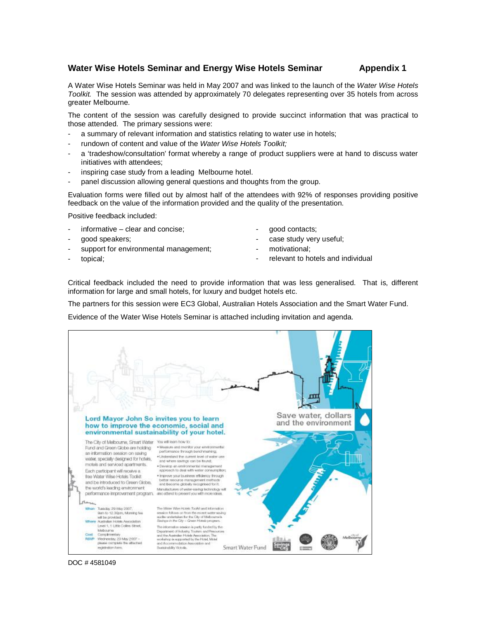### **Water Wise Hotels Seminar and Energy Wise Hotels Seminar Appendix 1**

A Water Wise Hotels Seminar was held in May 2007 and was linked to the launch of the *Water Wise Hotels Toolkit.* The session was attended by approximately 70 delegates representing over 35 hotels from across greater Melbourne.

The content of the session was carefully designed to provide succinct information that was practical to those attended. The primary sessions were:

- a summary of relevant information and statistics relating to water use in hotels;
- rundown of content and value of the *Water Wise Hotels Toolkit;*
- a 'tradeshow/consultation' format whereby a range of product suppliers were at hand to discuss water initiatives with attendees;
- inspiring case study from a leading Melbourne hotel.
- panel discussion allowing general questions and thoughts from the group.

Evaluation forms were filled out by almost half of the attendees with 92% of responses providing positive feedback on the value of the information provided and the quality of the presentation.

Positive feedback included:

- $informative clear$  and concise;
- good speakers;
- support for environmental management;
- topical;
- good contacts;
- case study very useful;
- motivational;
- relevant to hotels and individual

Critical feedback included the need to provide information that was less generalised. That is, different information for large and small hotels, for luxury and budget hotels etc.

The partners for this session were EC3 Global, Australian Hotels Association and the Smart Water Fund.

Evidence of the Water Wise Hotels Seminar is attached including invitation and agenda.



DOC # 4581049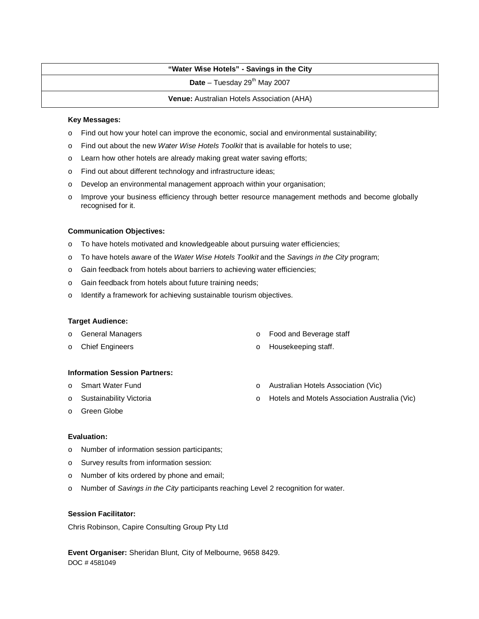# **"Water Wise Hotels" - Savings in the City**

 $Date - Tuesday 29<sup>th</sup> May 2007$ 

**Venue:** Australian Hotels Association (AHA)

#### **Key Messages:**

- o Find out how your hotel can improve the economic, social and environmental sustainability;
- o Find out about the new *Water Wise Hotels Toolkit* that is available for hotels to use;
- o Learn how other hotels are already making great water saving efforts;
- o Find out about different technology and infrastructure ideas;
- o Develop an environmental management approach within your organisation;
- o Improve your business efficiency through better resource management methods and become globally recognised for it.

#### **Communication Objectives:**

- o To have hotels motivated and knowledgeable about pursuing water efficiencies;
- o To have hotels aware of the *Water Wise Hotels Toolkit* and the *Savings in the City* program;
- o Gain feedback from hotels about barriers to achieving water efficiencies;
- o Gain feedback from hotels about future training needs;
- o Identify a framework for achieving sustainable tourism objectives.

#### **Target Audience:**

- o General Managers
- o Chief Engineers
- o Food and Beverage staff
- o Housekeeping staff.

#### **Information Session Partners:**

- o Smart Water Fund
- o Sustainability Victoria
- o Australian Hotels Association (Vic)
- o Hotels and Motels Association Australia (Vic)

o Green Globe

#### **Evaluation:**

- o Number of information session participants;
- o Survey results from information session:
- o Number of kits ordered by phone and email;
- o Number of *Savings in the City* participants reaching Level 2 recognition for water.

#### **Session Facilitator:**

Chris Robinson, Capire Consulting Group Pty Ltd

DOC # 4581049 **Event Organiser:** Sheridan Blunt, City of Melbourne, 9658 8429.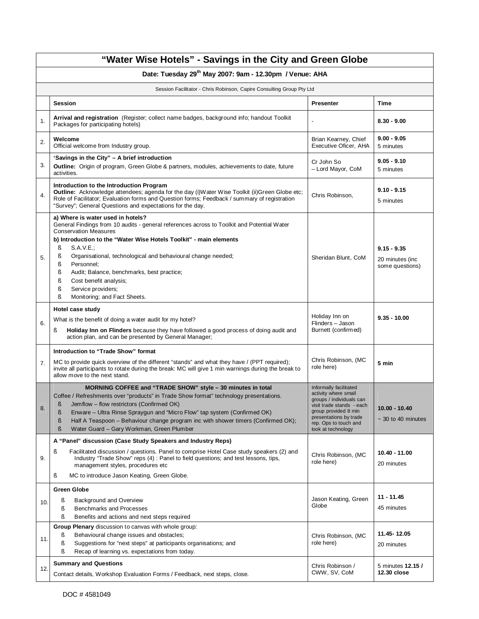|                                                                       | "Water Wise Hotels" - Savings in the City and Green Globe                                                                                                                                                                                                                                                                                                                                                                                                                                         |                                                                                                                                                                                                          |                                                     |  |  |  |  |  |
|-----------------------------------------------------------------------|---------------------------------------------------------------------------------------------------------------------------------------------------------------------------------------------------------------------------------------------------------------------------------------------------------------------------------------------------------------------------------------------------------------------------------------------------------------------------------------------------|----------------------------------------------------------------------------------------------------------------------------------------------------------------------------------------------------------|-----------------------------------------------------|--|--|--|--|--|
|                                                                       | Date: Tuesday 29 <sup>th</sup> May 2007: 9am - 12.30pm / Venue: AHA                                                                                                                                                                                                                                                                                                                                                                                                                               |                                                                                                                                                                                                          |                                                     |  |  |  |  |  |
| Session Facilitator - Chris Robinson, Capire Consulting Group Pty Ltd |                                                                                                                                                                                                                                                                                                                                                                                                                                                                                                   |                                                                                                                                                                                                          |                                                     |  |  |  |  |  |
|                                                                       | <b>Session</b>                                                                                                                                                                                                                                                                                                                                                                                                                                                                                    | <b>Presenter</b>                                                                                                                                                                                         | Time                                                |  |  |  |  |  |
| 1.                                                                    | Arrival and registration (Register; collect name badges, background info; handout Toolkit<br>Packages for participating hotels)                                                                                                                                                                                                                                                                                                                                                                   |                                                                                                                                                                                                          | $8.30 - 9.00$                                       |  |  |  |  |  |
| 2.                                                                    | Welcome<br>Official welcome from Industry group.                                                                                                                                                                                                                                                                                                                                                                                                                                                  | Brian Kearney, Chief<br>Executive Oficer, AHA                                                                                                                                                            | $9.00 - 9.05$<br>5 minutes                          |  |  |  |  |  |
| 3.                                                                    | 'Savings in the City" - A brief introduction<br><b>Outline:</b> Origin of program, Green Globe & partners, modules, achievements to date, future<br>activities.                                                                                                                                                                                                                                                                                                                                   | Cr John So<br>- Lord Mayor, CoM                                                                                                                                                                          | $9.05 - 9.10$<br>5 minutes                          |  |  |  |  |  |
| 4.                                                                    | Introduction to the Introduction Program<br>Outline: Acknowledge attendees; agenda for the day (i)Water Wise Toolkit (ii)Green Globe etc;<br>Role of Facilitator; Evaluation forms and Question forms; Feedback / summary of registration<br>"Survey"; General Questions and expectations for the day.                                                                                                                                                                                            | Chris Robinson,                                                                                                                                                                                          | $9.10 - 9.15$<br>5 minutes                          |  |  |  |  |  |
| 5.                                                                    | a) Where is water used in hotels?<br>General Findings from 10 audits - general references across to Toolkit and Potential Water<br><b>Conservation Measures</b><br>b) Introduction to the "Water Wise Hotels Toolkit" - main elements<br>ş<br>S.A.V.E.;<br>ş<br>Organisational, technological and behavioural change needed;<br>Personnel;<br>ş<br>ş<br>Audit; Balance, benchmarks, best practice;<br>ş<br>Cost benefit analysis;<br>ş<br>Service providers;<br>ş<br>Monitoring; and Fact Sheets. | Sheridan Blunt, CoM                                                                                                                                                                                      | $9.15 - 9.35$<br>20 minutes (inc<br>some questions) |  |  |  |  |  |
| 6.                                                                    | Hotel case study<br>What is the benefit of doing a water audit for my hotel?<br>Holiday Inn on Flinders because they have followed a good process of doing audit and<br>ş<br>action plan, and can be presented by General Manager;                                                                                                                                                                                                                                                                | Holiday Inn on<br>Flinders - Jason<br>Burnett (confirmed)                                                                                                                                                | $9.35 - 10.00$                                      |  |  |  |  |  |
| 7.                                                                    | Introduction to "Trade Show" format<br>MC to provide quick overview of the different "stands" and what they have / (PPT required);<br>invite all participants to rotate during the break: MC will give 1 min warnings during the break to<br>allow move to the next stand.                                                                                                                                                                                                                        | Chris Robinson, (MC<br>role here)                                                                                                                                                                        | 5 min                                               |  |  |  |  |  |
| 8.                                                                    | MORNING COFFEE and "TRADE SHOW" style - 30 minutes in total<br>Coffee / Refreshments over "products" in Trade Show format" technology presentations.<br>Jemflow – flow restrictors (Confirmed OK)<br>Š<br>Enware - Ultra Rinse Spraygun and "Micro Flow" tap system (Confirmed OK)<br>ş<br>Half A Teaspoon - Behaviour change program inc with shower timers (Confirmed OK);<br>ş<br>Water Guard - Gary Workman, Green Plumber<br>ş                                                               | Informally facilitated<br>activity where small<br>groups / individuals can<br>visit trade stands - each<br>group provided 8 min<br>presentations by trade<br>rep. Ops to touch and<br>look at technology | $10.00 - 10.40$<br>$\sim$ 30 to 40 minutes          |  |  |  |  |  |
| 9.                                                                    | A "Panel" discussion (Case Study Speakers and Industry Reps)<br>ş<br>Facilitated discussion / questions. Panel to comprise Hotel Case study speakers (2) and<br>Industry "Trade Show" reps (4): Panel to field questions; and test lessons, tips,<br>management styles, procedures etc<br>MC to introduce Jason Keating, Green Globe.<br>ş                                                                                                                                                        | Chris Robinson, (MC<br>role here)                                                                                                                                                                        | 10.40 - 11.00<br>20 minutes                         |  |  |  |  |  |
| 10.                                                                   | <b>Green Globe</b><br>Background and Overview<br>ş<br>ş<br>Benchmarks and Processes<br>ş<br>Benefits and actions and next steps required                                                                                                                                                                                                                                                                                                                                                          | Jason Keating, Green<br>Globe                                                                                                                                                                            | $11 - 11.45$<br>45 minutes                          |  |  |  |  |  |
| 11.                                                                   | <b>Group Plenary</b> discussion to canvas with whole group:<br>Behavioural change issues and obstacles;<br>ş<br>ş<br>Suggestions for "next steps" at participants organisations; and<br>Recap of learning vs. expectations from today.<br>ş                                                                                                                                                                                                                                                       | Chris Robinson, (MC<br>role here)                                                                                                                                                                        | 11.45-12.05<br>20 minutes                           |  |  |  |  |  |
| 12.                                                                   | <b>Summary and Questions</b><br>Contact details, Workshop Evaluation Forms / Feedback, next steps, close.                                                                                                                                                                                                                                                                                                                                                                                         | Chris Robinson /<br>CWW, SV, CoM                                                                                                                                                                         | 5 minutes 12.15 /<br>12.30 close                    |  |  |  |  |  |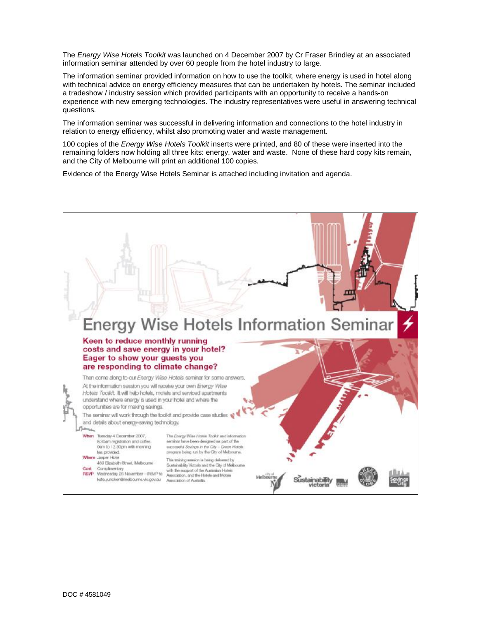The *Energy Wise Hotels Toolkit* was launched on 4 December 2007 by Cr Fraser Brindley at an associated information seminar attended by over 60 people from the hotel industry to large.

The information seminar provided information on how to use the toolkit, where energy is used in hotel along with technical advice on energy efficiency measures that can be undertaken by hotels. The seminar included a tradeshow / industry session which provided participants with an opportunity to receive a hands-on experience with new emerging technologies. The industry representatives were useful in answering technical questions.

The information seminar was successful in delivering information and connections to the hotel industry in relation to energy efficiency, whilst also promoting water and waste management.

100 copies of the *Energy Wise Hotels Toolkit* inserts were printed, and 80 of these were inserted into the remaining folders now holding all three kits: energy, water and waste. None of these hard copy kits remain, and the City of Melbourne will print an additional 100 copies.

Evidence of the Energy Wise Hotels Seminar is attached including invitation and agenda.

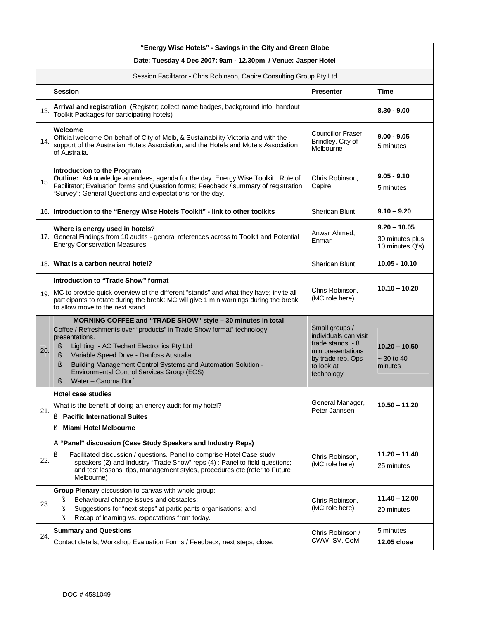|     | "Energy Wise Hotels" - Savings in the City and Green Globe                                                                                                                                                                                                                                                                                                                                                  |                                                                                                                                    |                                                      |  |  |  |  |  |
|-----|-------------------------------------------------------------------------------------------------------------------------------------------------------------------------------------------------------------------------------------------------------------------------------------------------------------------------------------------------------------------------------------------------------------|------------------------------------------------------------------------------------------------------------------------------------|------------------------------------------------------|--|--|--|--|--|
|     | Date: Tuesday 4 Dec 2007: 9am - 12.30pm / Venue: Jasper Hotel                                                                                                                                                                                                                                                                                                                                               |                                                                                                                                    |                                                      |  |  |  |  |  |
|     | Session Facilitator - Chris Robinson, Capire Consulting Group Pty Ltd                                                                                                                                                                                                                                                                                                                                       |                                                                                                                                    |                                                      |  |  |  |  |  |
|     | <b>Session</b>                                                                                                                                                                                                                                                                                                                                                                                              | <b>Presenter</b>                                                                                                                   | <b>Time</b>                                          |  |  |  |  |  |
| 13. | Arrival and registration (Register; collect name badges, background info; handout<br>Toolkit Packages for participating hotels)                                                                                                                                                                                                                                                                             |                                                                                                                                    | $8.30 - 9.00$                                        |  |  |  |  |  |
| 14. | Welcome<br>Official welcome On behalf of City of Melb, & Sustainability Victoria and with the<br>support of the Australian Hotels Association, and the Hotels and Motels Association<br>of Australia.                                                                                                                                                                                                       | <b>Councillor Fraser</b><br>Brindley, City of<br>Melbourne                                                                         | $9.00 - 9.05$<br>5 minutes                           |  |  |  |  |  |
| 15. | Introduction to the Program<br>Outline: Acknowledge attendees; agenda for the day. Energy Wise Toolkit. Role of<br>Facilitator; Evaluation forms and Question forms; Feedback / summary of registration<br>"Survey"; General Questions and expectations for the day.                                                                                                                                        | Chris Robinson,<br>Capire                                                                                                          | $9.05 - 9.10$<br>5 minutes                           |  |  |  |  |  |
| 16. | Introduction to the "Energy Wise Hotels Toolkit" - link to other toolkits                                                                                                                                                                                                                                                                                                                                   | Sheridan Blunt                                                                                                                     | $9.10 - 9.20$                                        |  |  |  |  |  |
| 17. | Where is energy used in hotels?<br>General Findings from 10 audits - general references across to Toolkit and Potential<br><b>Energy Conservation Measures</b>                                                                                                                                                                                                                                              | Anwar Ahmed,<br>Enman                                                                                                              | $9.20 - 10.05$<br>30 minutes plus<br>10 minutes Q's) |  |  |  |  |  |
| 18. | What is a carbon neutral hotel?                                                                                                                                                                                                                                                                                                                                                                             | Sheridan Blunt                                                                                                                     | $10.05 - 10.10$                                      |  |  |  |  |  |
| 19. | Introduction to "Trade Show" format<br>MC to provide quick overview of the different "stands" and what they have; invite all<br>participants to rotate during the break: MC will give 1 min warnings during the break<br>to allow move to the next stand.                                                                                                                                                   | Chris Robinson,<br>(MC role here)                                                                                                  | $10.10 - 10.20$                                      |  |  |  |  |  |
| 20. | MORNING COFFEE and "TRADE SHOW" style - 30 minutes in total<br>Coffee / Refreshments over "products" in Trade Show format" technology<br>presentations.<br>Lighting - AC Techart Electronics Pty Ltd<br>§.<br>Variable Speed Drive - Danfoss Australia<br>ş<br>Ş<br>Building Management Control Systems and Automation Solution -<br>Environmental Control Services Group (ECS)<br>Water - Caroma Dorf<br>ş | Small groups /<br>individuals can visit<br>trade stands $-8$<br>min presentations<br>by trade rep. Ops<br>to look at<br>technology | $10.20 - 10.50$<br>$~20$ to 40<br>minutes            |  |  |  |  |  |
|     | Hotel case studies                                                                                                                                                                                                                                                                                                                                                                                          |                                                                                                                                    |                                                      |  |  |  |  |  |
| 21. | What is the benefit of doing an energy audit for my hotel?<br><b>Pacific International Suites</b><br>ş.                                                                                                                                                                                                                                                                                                     | General Manager,<br>Peter Jannsen                                                                                                  | $10.50 - 11.20$                                      |  |  |  |  |  |
|     | <b>Miami Hotel Melbourne</b><br>ş                                                                                                                                                                                                                                                                                                                                                                           |                                                                                                                                    |                                                      |  |  |  |  |  |
| 22. | A "Panel" discussion (Case Study Speakers and Industry Reps)<br>Facilitated discussion / questions. Panel to comprise Hotel Case study<br>ş<br>speakers (2) and Industry "Trade Show" reps (4) : Panel to field questions;<br>and test lessons, tips, management styles, procedures etc (refer to Future<br>Melbourne)                                                                                      | Chris Robinson,<br>(MC role here)                                                                                                  | $11.20 - 11.40$<br>25 minutes                        |  |  |  |  |  |
| 23. | Group Plenary discussion to canvas with whole group:<br>Behavioural change issues and obstacles;<br>ş<br>Suggestions for "next steps" at participants organisations; and<br>ş<br>Recap of learning vs. expectations from today.<br>ş                                                                                                                                                                        | Chris Robinson,<br>(MC role here)                                                                                                  | $11.40 - 12.00$<br>20 minutes                        |  |  |  |  |  |
| 24. | <b>Summary and Questions</b><br>Contact details, Workshop Evaluation Forms / Feedback, next steps, close.                                                                                                                                                                                                                                                                                                   | Chris Robinson /<br>CWW, SV, CoM                                                                                                   | 5 minutes<br>12.05 close                             |  |  |  |  |  |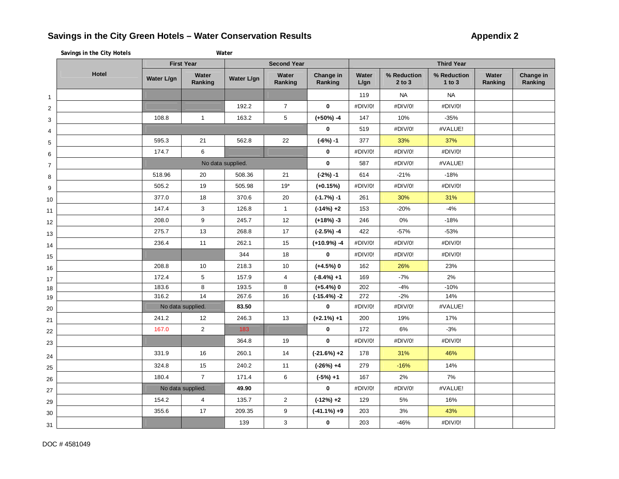# **Savings in the City Green Hotels – Water Conservation Results Appendix 2**

|                | Savings in the City Hotels |                   |                   | Water             |                    |                      |               |                           |                           |                  |                      |  |
|----------------|----------------------------|-------------------|-------------------|-------------------|--------------------|----------------------|---------------|---------------------------|---------------------------|------------------|----------------------|--|
|                |                            | <b>First Year</b> |                   |                   | <b>Second Year</b> |                      |               | <b>Third Year</b>         |                           |                  |                      |  |
|                | Hotel                      | Water L/gn        | Water<br>Ranking  | Water L/gn        | Water<br>Ranking   | Change in<br>Ranking | Water<br>L/gn | % Reduction<br>$2$ to $3$ | % Reduction<br>$1$ to $3$ | Water<br>Ranking | Change in<br>Ranking |  |
| $\mathbf{1}$   |                            |                   |                   |                   |                    |                      | 119           | <b>NA</b>                 | <b>NA</b>                 |                  |                      |  |
| $\mathbf 2$    |                            |                   |                   | 192.2             | $\overline{7}$     | $\mathbf 0$          | #DIV/0!       | #DIV/0!                   | #DIV/0!                   |                  |                      |  |
| 3              |                            | 108.8             | $\mathbf{1}$      | 163.2             | 5                  | $(+50%) -4$          | 147           | 10%                       | $-35%$                    |                  |                      |  |
| $\overline{4}$ |                            |                   |                   |                   |                    | 0                    | 519           | #DIV/0!                   | #VALUE!                   |                  |                      |  |
| $\,$ 5 $\,$    |                            | 595.3             | 21                | 562.8             | 22                 | $(-6%) -1$           | 377           | 33%                       | 37%                       |                  |                      |  |
| 6              |                            | 174.7             | 6                 |                   |                    | 0                    | #DIV/0!       | #DIV/0!                   | #DIV/0!                   |                  |                      |  |
| $\overline{7}$ |                            |                   |                   | No data supplied. |                    | $\mathbf 0$          | 587           | #DIV/0!                   | #VALUE!                   |                  |                      |  |
| 8              |                            | 518.96            | 20                | 508.36            | 21                 | $(-2%) -1$           | 614           | $-21%$                    | $-18%$                    |                  |                      |  |
| 9              |                            | 505.2             | 19                | 505.98            | $19*$              | $(+0.15%)$           | #DIV/0!       | #DIV/0!                   | #DIV/0!                   |                  |                      |  |
| 10             |                            | 377.0             | 18                | 370.6             | 20                 | $(-1.7%) -1$         | 261           | 30%                       | 31%                       |                  |                      |  |
| 11             |                            | 147.4             | 3                 | 126.8             | $\mathbf{1}$       | $(-14%) +2$          | 153           | $-20%$                    | $-4%$                     |                  |                      |  |
| 12             |                            | 208.0             | 9                 | 245.7             | 12                 | $(+18%) -3$          | 246           | 0%                        | $-18%$                    |                  |                      |  |
| 13             |                            | 275.7             | 13                | 268.8             | 17                 | $(-2.5%) -4$         | 422           | $-57%$                    | $-53%$                    |                  |                      |  |
| 14             |                            | 236.4             | 11                | 262.1             | 15                 | $(+10.9%) -4$        | #DIV/0!       | #DIV/0!                   | #DIV/0!                   |                  |                      |  |
| 15             |                            |                   |                   | 344               | 18                 | $\mathbf 0$          | #DIV/0!       | #DIV/0!                   | #DIV/0!                   |                  |                      |  |
| 16             |                            | 208.8             | 10                | 218.3             | 10                 | $(+4.5%)$ 0          | 162           | 26%                       | 23%                       |                  |                      |  |
| 17             |                            | 172.4             | 5                 | 157.9             | $\overline{4}$     | $(-8.4\%) + 1$       | 169           | $-7%$                     | 2%                        |                  |                      |  |
| 18             |                            | 183.6             | 8                 | 193.5             | 8                  | $(+5.4%)$ 0          | 202           | $-4%$                     | $-10%$                    |                  |                      |  |
| 19             |                            | 316.2             | 14                | 267.6             | 16                 | $(-15.4%) -2$        | 272           | $-2%$                     | 14%                       |                  |                      |  |
| 20             |                            |                   | No data supplied. | 83.50             |                    | $\mathbf 0$          | #DIV/0!       | #DIV/0!                   | #VALUE!                   |                  |                      |  |
| 21             |                            | 241.2             | 12                | 246.3             | 13                 | $(+2.1\%) +1$        | 200           | 19%                       | 17%                       |                  |                      |  |
| 22             |                            | 167.0             | $\overline{a}$    | 183               |                    | $\pmb{0}$            | 172           | 6%                        | $-3%$                     |                  |                      |  |
| 23             |                            |                   |                   | 364.8             | 19                 | $\mathbf 0$          | #DIV/0!       | #DIV/0!                   | #DIV/0!                   |                  |                      |  |
| 24             |                            | 331.9             | 16                | 260.1             | 14                 | $(-21.6%) +2$        | 178           | 31%                       | 46%                       |                  |                      |  |
| 25             |                            | 324.8             | 15                | 240.2             | 11                 | $(-26%) +4$          | 279           | $-16%$                    | 14%                       |                  |                      |  |
| 26             |                            | 180.4             | $\overline{7}$    | 171.4             | 6                  | $(-5%) + 1$          | 167           | 2%                        | 7%                        |                  |                      |  |
| 27             |                            |                   | No data supplied. | 49.90             |                    | $\mathbf 0$          | #DIV/0!       | #DIV/0!                   | #VALUE!                   |                  |                      |  |
| 29             |                            | 154.2             | $\overline{4}$    | 135.7             | $\overline{2}$     | $(-12%) +2$          | 129           | 5%                        | 16%                       |                  |                      |  |
| 30             |                            | 355.6             | 17                | 209.35            | 9                  | $(-41.1\%) +9$       | 203           | 3%                        | 43%                       |                  |                      |  |
| 31             |                            |                   |                   | 139               | 3                  | $\pmb{0}$            | 203           | $-46%$                    | #DIV/0!                   |                  |                      |  |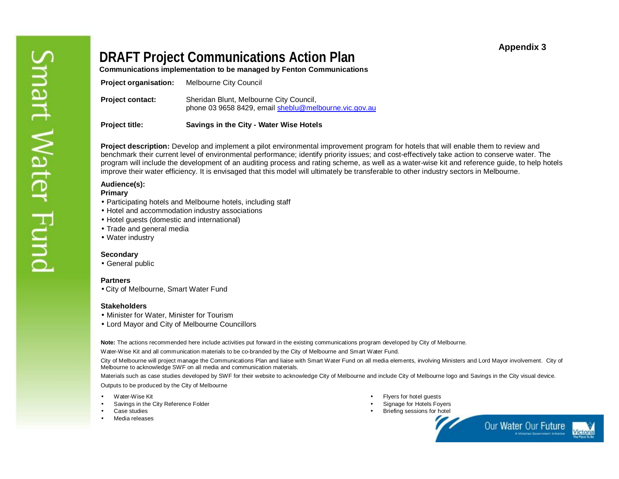# **Appendix 3**

# **DRAFT Project Communications Action Plan**

**Communications implementation to be managed by Fenton Communications** 

| <b>Project title:</b>        | Savings in the City - Water Wise Hotels                                                          |
|------------------------------|--------------------------------------------------------------------------------------------------|
| <b>Project contact:</b>      | Sheridan Blunt, Melbourne City Council,<br>phone 03 9658 8429, email sheblu@melbourne.vic.gov.au |
| <b>Project organisation:</b> | Melbourne City Council                                                                           |

**Project description:** Develop and implement a pilot environmental improvement program for hotels that will enable them to review and benchmark their current level of environmental performance; identify priority issues; and cost-effectively take action to conserve water. The program will include the development of an auditing process and rating scheme, as well as a water-wise kit and reference guide, to help hotels improve their water efficiency. It is envisaged that this model will ultimately be transferable to other industry sectors in Melbourne.

### **Audience(s):**

#### **Primary**

- Participating hotels and Melbourne hotels, including staff
- Hotel and accommodation industry associations
- Hotel guests (domestic and international)
- Trade and general media
- Water industry

#### **Secondary**

• General public

#### **Partners**

• City of Melbourne, Smart Water Fund

#### **Stakeholders**

- Minister for Water, Minister for Tourism
- Lord Mayor and City of Melbourne Councillors

**Note:** The actions recommended here include activities put forward in the existing communications program developed by City of Melbourne.

Water-Wise Kit and all communication materials to be co-branded by the City of Melbourne and Smart Water Fund.

City of Melbourne will project manage the Communications Plan and liaise with Smart Water Fund on all media elements, involving Ministers and Lord Mayor involvement. City of Melbourne to acknowledge SWF on all media and communication materials.

Materials such as case studies developed by SWF for their website to acknowledge City of Melbourne and include City of Melbourne logo and Savings in the City visual device. Outputs to be produced by the City of Melbourne

- Water-Wise Kit
- Savings in the City Reference Folder
- Case studies
- Media releases
- Flyers for hotel guests
- Signage for Hotels Fovers
- **Briefing sessions for hotel**



Our Water Our Future Victoria **Wetprian Government Initiative**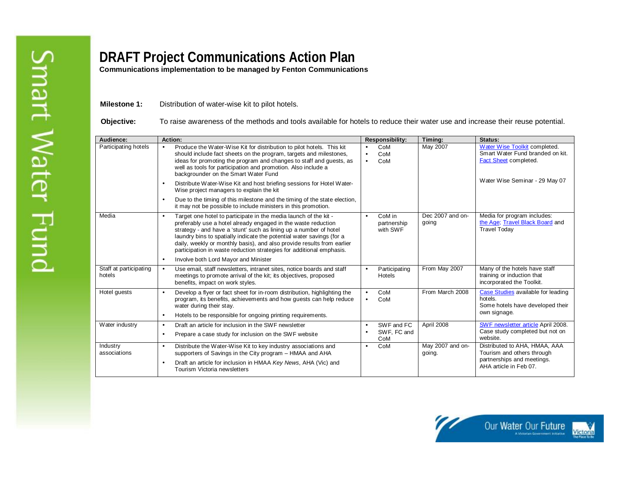**Communications implementation to be managed by Fenton Communications** 

**Milestone 1:** Distribution of water-wise kit to pilot hotels.

**Objective:** To raise awareness of the methods and tools available for hotels to reduce their water use and increase their reuse potential.

| Audience:                        | <b>Action:</b>                                                                                                                                                                                                                                                                                                                                                                                                                                                                                      | <b>Responsibility:</b>                                     | Timing:                    | Status:                                                                                                             |  |  |
|----------------------------------|-----------------------------------------------------------------------------------------------------------------------------------------------------------------------------------------------------------------------------------------------------------------------------------------------------------------------------------------------------------------------------------------------------------------------------------------------------------------------------------------------------|------------------------------------------------------------|----------------------------|---------------------------------------------------------------------------------------------------------------------|--|--|
| Participating hotels             | Produce the Water-Wise Kit for distribution to pilot hotels. This kit<br>$\bullet$<br>should include fact sheets on the program, targets and milestones,<br>ideas for promoting the program and changes to staff and guests, as<br>well as tools for participation and promotion. Also include a<br>backgrounder on the Smart Water Fund                                                                                                                                                            | CoM<br>$\bullet$<br>CoM<br>$\bullet$<br>CoM<br>$\bullet$   | May 2007                   | Water Wise Toolkit completed.<br>Smart Water Fund branded on kit.<br><b>Fact Sheet completed.</b>                   |  |  |
|                                  | Distribute Water-Wise Kit and host briefing sessions for Hotel Water-<br>$\bullet$<br>Wise project managers to explain the kit                                                                                                                                                                                                                                                                                                                                                                      |                                                            |                            | Water Wise Seminar - 29 May 07                                                                                      |  |  |
|                                  | Due to the timing of this milestone and the timing of the state election,<br>$\bullet$<br>it may not be possible to include ministers in this promotion.                                                                                                                                                                                                                                                                                                                                            |                                                            |                            |                                                                                                                     |  |  |
| Media                            | Target one hotel to participate in the media launch of the kit -<br>$\bullet$<br>preferably use a hotel already engaged in the waste reduction<br>strategy - and have a 'stunt' such as lining up a number of hotel<br>laundry bins to spatially indicate the potential water savings (for a<br>daily, weekly or monthly basis), and also provide results from earlier<br>participation in waste reduction strategies for additional emphasis.<br>Involve both Lord Mayor and Minister<br>$\bullet$ | CoM in<br>$\bullet$<br>partnership<br>with SWF             | Dec 2007 and on-<br>going  | Media for program includes:<br>the Age; Travel Black Board and<br><b>Travel Todav</b>                               |  |  |
| Staff at participating<br>hotels | Use email, staff newsletters, intranet sites, notice boards and staff<br>$\bullet$<br>meetings to promote arrival of the kit; its objectives, proposed<br>benefits, impact on work styles.                                                                                                                                                                                                                                                                                                          | Participating<br>$\bullet$<br>Hotels                       | From May 2007              | Many of the hotels have staff<br>training or induction that<br>incorporated the Toolkit.                            |  |  |
| Hotel guests                     | Develop a flyer or fact sheet for in-room distribution, highlighting the<br>$\bullet$<br>program, its benefits, achievements and how quests can help reduce<br>water during their stay.<br>Hotels to be responsible for ongoing printing requirements.<br>$\bullet$                                                                                                                                                                                                                                 | CoM<br>$\bullet$<br>CoM                                    | From March 2008            | Case Studies available for leading<br>hotels.<br>Some hotels have developed their<br>own signage.                   |  |  |
| Water industry                   | Draft an article for inclusion in the SWF newsletter<br>$\bullet$<br>Prepare a case study for inclusion on the SWF website<br>$\bullet$                                                                                                                                                                                                                                                                                                                                                             | SWF and FC<br>$\bullet$<br>SWF. FC and<br>$\bullet$<br>CoM | April 2008                 | <b>SWF newsletter article April 2008.</b><br>Case study completed but not on<br>website.                            |  |  |
| Industry<br>associations         | Distribute the Water-Wise Kit to key industry associations and<br>$\bullet$<br>supporters of Savings in the City program - HMAA and AHA<br>Draft an article for inclusion in HMAA Key News, AHA (Vic) and<br>Tourism Victoria newsletters                                                                                                                                                                                                                                                           | CoM<br>$\bullet$                                           | May 2007 and on-<br>going. | Distributed to AHA, HMAA, AAA<br>Tourism and others through<br>partnerships and meetings.<br>AHA article in Feb 07. |  |  |

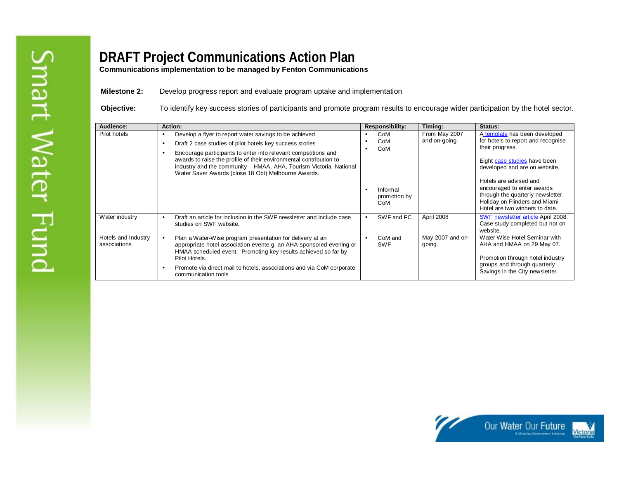**Communications implementation to be managed by Fenton Communications** 

**Milestone 2:** Develop progress report and evaluate program uptake and implementation

**Objective:** To identify key success stories of participants and promote program results to encourage wider participation by the hotel sector.

| Audience:                           | Action:        |                                                                                                                                                                                                                                                                   | Responsibility:<br>Timing:         |                                 |                            | <b>Status:</b>                                                                                                                                               |
|-------------------------------------|----------------|-------------------------------------------------------------------------------------------------------------------------------------------------------------------------------------------------------------------------------------------------------------------|------------------------------------|---------------------------------|----------------------------|--------------------------------------------------------------------------------------------------------------------------------------------------------------|
| Pilot hotels                        | $\bullet$<br>٠ | Develop a flyer to report water savings to be achieved<br>Draft 2 case studies of pilot hotels key success stories                                                                                                                                                | CoM<br>and on-going.<br>CoM<br>CoM |                                 | From May 2007              | A template has been developed<br>for hotels to report and recognise<br>their progress.                                                                       |
|                                     | $\bullet$      | Encourage participants to enter into relevant competitions and<br>awards to raise the profile of their environmental contribution to<br>industry and the community - HMAA, AHA, Tourism Victoria, National<br>Water Saver Awards (close 18 Oct) Melbourne Awards. |                                    |                                 |                            | Eight case studies have been<br>developed and are on website.                                                                                                |
|                                     |                |                                                                                                                                                                                                                                                                   |                                    | Informal<br>promotion by<br>CoM |                            | Hotels are advised and<br>encouraged to enter awards<br>through the quarterly newsletter.<br>Holiday on Flinders and Miami<br>Hotel are two winners to date. |
| Water industry                      | $\bullet$      | Draft an article for inclusion in the SWF newsletter and include case<br>studies on SWF website.                                                                                                                                                                  |                                    | SWF and FC                      | April 2008                 | <b>SWF newsletter article April 2008.</b><br>Case study completed but not on<br>website.                                                                     |
| Hotels and Industry<br>associations | $\bullet$      | Plan a Water-Wise program presentation for delivery at an<br>appropriate hotel association evente.g. an AHA-sponsored evening or<br>HMAA scheduled event. Promoting key results achieved so far by<br>Pilot Hotels.                                               |                                    | CoM and<br><b>SWF</b>           | May 2007 and on-<br>going. | Water Wise Hotel Seminar with<br>AHA and HMAA on 29 May 07.<br>Promotion through hotel industry                                                              |
|                                     |                | Promote via direct mail to hotels, associations and via CoM corporate<br>communication tools                                                                                                                                                                      |                                    |                                 |                            | groups and through quarterly<br>Savings in the City newsletter.                                                                                              |

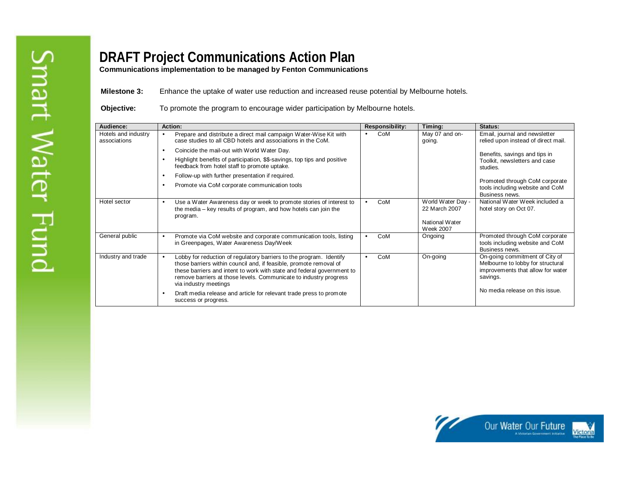**Communications implementation to be managed by Fenton Communications** 

**Milestone 3:** Enhance the uptake of water use reduction and increased reuse potential by Melbourne hotels.

**Objective:** To promote the program to encourage wider participation by Melbourne hotels.

| Audience:                           | Action:                                                                                                                                                                                                                                                                                                                        | <b>Responsibility:</b> | Timing:                                                                  | <b>Status:</b>                                                                                                       |
|-------------------------------------|--------------------------------------------------------------------------------------------------------------------------------------------------------------------------------------------------------------------------------------------------------------------------------------------------------------------------------|------------------------|--------------------------------------------------------------------------|----------------------------------------------------------------------------------------------------------------------|
| Hotels and industry<br>associations | Prepare and distribute a direct mail campaign Water-Wise Kit with<br>$\bullet$<br>case studies to all CBD hotels and associations in the CoM.                                                                                                                                                                                  | CoM<br>$\bullet$       | May 07 and on-<br>going.                                                 | Email, journal and newsletter<br>relied upon instead of direct mail.                                                 |
|                                     | Coincide the mail-out with World Water Day.<br>$\bullet$                                                                                                                                                                                                                                                                       |                        |                                                                          | Benefits, savings and tips in                                                                                        |
|                                     | Highlight benefits of participation, \$\$-savings, top tips and positive<br>$\bullet$<br>feedback from hotel staff to promote uptake.                                                                                                                                                                                          |                        |                                                                          | Toolkit, newsletters and case<br>studies.                                                                            |
|                                     | Follow-up with further presentation if required.<br>$\bullet$                                                                                                                                                                                                                                                                  |                        |                                                                          |                                                                                                                      |
|                                     | Promote via CoM corporate communication tools<br>$\bullet$                                                                                                                                                                                                                                                                     |                        |                                                                          | Promoted through CoM corporate<br>tools including website and CoM<br>Business news.                                  |
| Hotel sector                        | Use a Water Awareness day or week to promote stories of interest to<br>$\bullet$<br>the media – key results of program, and how hotels can join the<br>program.                                                                                                                                                                | CoM<br>$\bullet$       | World Water Day -<br>22 March 2007<br>National Water<br><b>Week 2007</b> | National Water Week included a<br>hotel story on Oct 07.                                                             |
| General public                      | Promote via CoM website and corporate communication tools, listing<br>$\bullet$<br>in Greenpages, Water Awareness Day/Week                                                                                                                                                                                                     | CoM<br>$\bullet$       | Ongoing                                                                  | Promoted through CoM corporate<br>tools including website and CoM<br>Business news.                                  |
| Industry and trade                  | Lobby for reduction of regulatory barriers to the program. Identify<br>$\bullet$<br>those barriers within council and, if feasible, promote removal of<br>these barriers and intent to work with state and federal government to<br>remove barriers at those levels. Communicate to industry progress<br>via industry meetings | CoM<br>$\bullet$       | On-going                                                                 | On-going commitment of City of<br>Melbourne to lobby for structural<br>improvements that allow for water<br>savings. |
|                                     | Draft media release and article for relevant trade press to promote<br>$\bullet$<br>success or progress.                                                                                                                                                                                                                       |                        |                                                                          | No media release on this issue.                                                                                      |